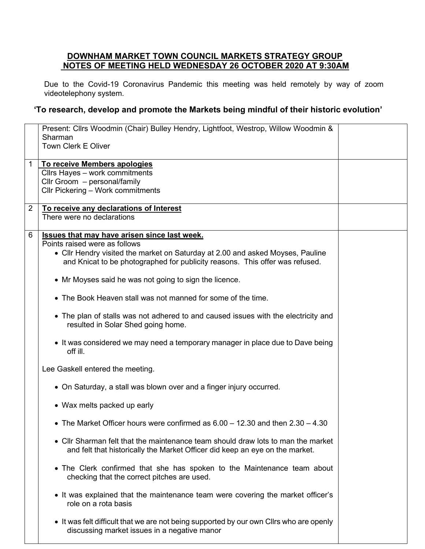## **DOWNHAM MARKET TOWN COUNCIL MARKETS STRATEGY GROUP NOTES OF MEETING HELD WEDNESDAY 26 OCTOBER 2020 AT 9:30AM**

Due to the Covid-19 Coronavirus Pandemic this meeting was held remotely by way of zoom videotelephony system.

## **'To research, develop and promote the Markets being mindful of their historic evolution'**

|                | Present: Cllrs Woodmin (Chair) Bulley Hendry, Lightfoot, Westrop, Willow Woodmin &      |  |
|----------------|-----------------------------------------------------------------------------------------|--|
|                | Sharman                                                                                 |  |
|                | Town Clerk E Oliver                                                                     |  |
| 1              | To receive Members apologies                                                            |  |
|                | Cllrs Hayes - work commitments                                                          |  |
|                | Cllr Groom - personal/family                                                            |  |
|                | Cllr Pickering - Work commitments                                                       |  |
| $\overline{2}$ | To receive any declarations of Interest                                                 |  |
|                | There were no declarations                                                              |  |
| 6              | <b>Issues that may have arisen since last week.</b>                                     |  |
|                | Points raised were as follows                                                           |  |
|                | • Cllr Hendry visited the market on Saturday at 2.00 and asked Moyses, Pauline          |  |
|                | and Knicat to be photographed for publicity reasons. This offer was refused.            |  |
|                |                                                                                         |  |
|                | • Mr Moyses said he was not going to sign the licence.                                  |  |
|                | • The Book Heaven stall was not manned for some of the time.                            |  |
|                |                                                                                         |  |
|                | • The plan of stalls was not adhered to and caused issues with the electricity and      |  |
|                | resulted in Solar Shed going home.                                                      |  |
|                | • It was considered we may need a temporary manager in place due to Dave being          |  |
|                | off ill.                                                                                |  |
|                |                                                                                         |  |
|                | Lee Gaskell entered the meeting.                                                        |  |
|                | • On Saturday, a stall was blown over and a finger injury occurred.                     |  |
|                |                                                                                         |  |
|                | • Wax melts packed up early                                                             |  |
|                | • The Market Officer hours were confirmed as $6.00 - 12.30$ and then $2.30 - 4.30$      |  |
|                |                                                                                         |  |
|                | • Cllr Sharman felt that the maintenance team should draw lots to man the market        |  |
|                | and felt that historically the Market Officer did keep an eye on the market.            |  |
|                | • The Clerk confirmed that she has spoken to the Maintenance team about                 |  |
|                | checking that the correct pitches are used.                                             |  |
|                |                                                                                         |  |
|                | • It was explained that the maintenance team were covering the market officer's         |  |
|                | role on a rota basis                                                                    |  |
|                | • It was felt difficult that we are not being supported by our own Cllrs who are openly |  |
|                | discussing market issues in a negative manor                                            |  |